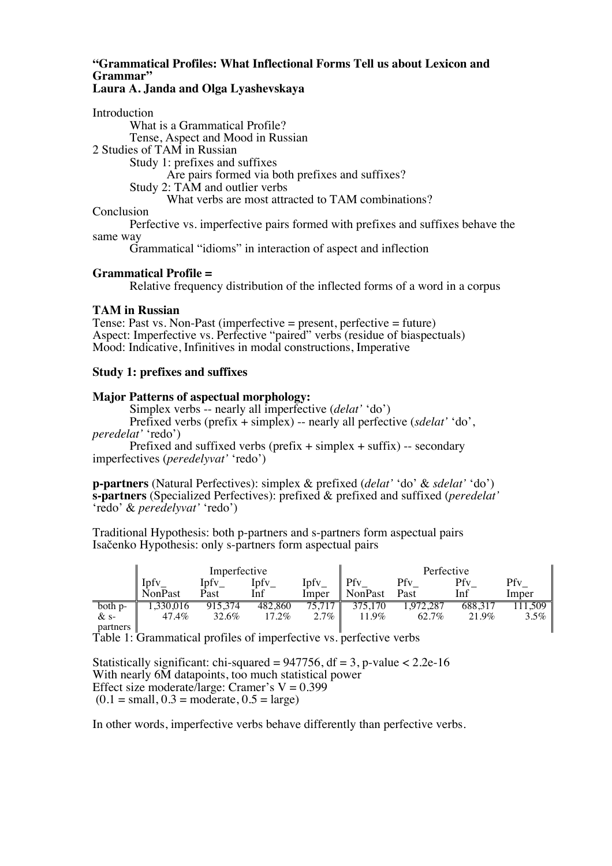# **"Grammatical Profiles: What Inflectional Forms Tell us about Lexicon and Grammar"**

## **Laura A. Janda and Olga Lyashevskaya**

Introduction What is a Grammatical Profile? Tense, Aspect and Mood in Russian 2 Studies of TAM in Russian Study 1: prefixes and suffixes Are pairs formed via both prefixes and suffixes? Study 2: TAM and outlier verbs What verbs are most attracted to TAM combinations? **Conclusion** 

Perfective vs. imperfective pairs formed with prefixes and suffixes behave the same way

Grammatical "idioms" in interaction of aspect and inflection

## **Grammatical Profile =**

Relative frequency distribution of the inflected forms of a word in a corpus

#### **TAM in Russian**

Tense: Past vs. Non-Past (imperfective = present, perfective = future) Aspect: Imperfective vs. Perfective "paired" verbs (residue of biaspectuals) Mood: Indicative, Infinitives in modal constructions, Imperative

## **Study 1: prefixes and suffixes**

#### **Major Patterns of aspectual morphology:**

Simplex verbs -- nearly all imperfective (*delat'* 'do')

Prefixed verbs (prefix + simplex) -- nearly all perfective (*sdelat'* 'do',

*peredelat'* 'redo')

Prefixed and suffixed verbs (prefix  $+$  simplex  $+$  suffix) -- secondary imperfectives (*peredelyvat'* 'redo')

**p-partners** (Natural Perfectives): simplex & prefixed (*delat'* 'do' & *sdelat'* 'do') **s-partners** (Specialized Perfectives): prefixed & prefixed and suffixed (*peredelat'* 'redo' & *peredelyvat'* 'redo')

Traditional Hypothesis: both p-partners and s-partners form aspectual pairs Isačenko Hypothesis: only s-partners form aspectual pairs

|          | Imperfective   |         |         | Perfective |         |           |         |            |
|----------|----------------|---------|---------|------------|---------|-----------|---------|------------|
|          | Ínfy           | Ipfy    | Ipfy    | Ipfv       | Pfy     | Pfy       | Pfv     | <b>Pfv</b> |
|          | <b>NonPast</b> | Past    | Inf     | Imper      | NonPast | Past      | Inf     | Imper      |
| both p-  | .330.016       | 915.374 | 482,860 | 75.717     | 375.170 | 1.972.287 | 688,317 | 1.509      |
| $&$ s-   | 47.4%          | 32.6%   | 17.2%   | $2.7\%$    | 11.9%   | 62.7%     | 21.9%   | $3.5\%$    |
| partners |                |         |         |            |         |           |         |            |

Table 1: Grammatical profiles of imperfective vs. perfective verbs

Statistically significant: chi-squared =  $947756$ , df = 3, p-value <  $2.2e-16$ With nearly 6M datapoints, too much statistical power Effect size moderate/large: Cramer's  $V = 0.399$  $(0.1 = \text{small}, 0.3 = \text{moderate}, 0.5 = \text{large})$ 

In other words, imperfective verbs behave differently than perfective verbs.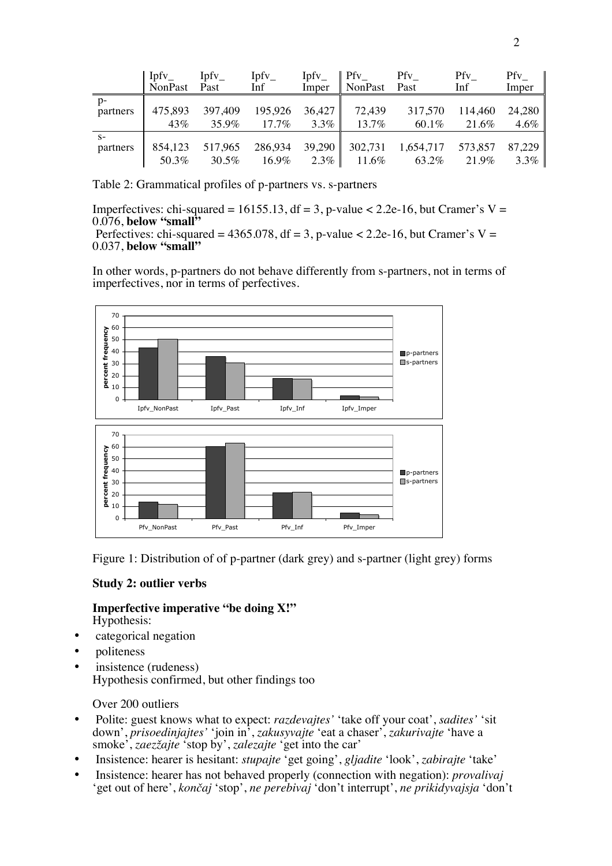|          | $\parallel$ Ipfy<br>NonPast | $Ipfv_$<br>Past | Ipfy<br>Inf | Ipfy<br>Imper | Pfv<br>NonPast Past | Pfv       | Pfv<br>Inf | Pfy<br>Imper |
|----------|-----------------------------|-----------------|-------------|---------------|---------------------|-----------|------------|--------------|
| $p-$     | 475,893                     | 397,409         | 195,926     | 36,427        | 72,439              | 317,570   | 114,460    | 24,280       |
| partners | 43%                         | 35.9%           | $17.7\%$    | $3.3\%$       | 13.7%               | $60.1\%$  | 21.6%      | $4.6\%$      |
| $S-$     | 854,123                     | 517,965         | 286,934     | 39,290        | 302,731             | 1,654,717 | 573,857    | 87,229       |
| partners | 50.3%                       | 30.5%           | 16.9%       | $2.3\%$       | $11.6\%$            | 63.2%     | 21.9%      | $3.3\%$      |

Table 2: Grammatical profiles of p-partners vs. s-partners

Imperfectives: chi-squared = 16155.13, df = 3, p-value  $\lt$  2.2e-16, but Cramer's V = 0.076, **below "small"**

Perfectives: chi-squared =  $4365.078$ , df = 3, p-value <  $2.2e-16$ , but Cramer's V = 0.037, **below "small"**

In other words, p-partners do not behave differently from s-partners, not in terms of imperfectives, nor in terms of perfectives.



Figure 1: Distribution of of p-partner (dark grey) and s-partner (light grey) forms

#### **Study 2: outlier verbs**

**Imperfective imperative "be doing X!"** Hypothesis:

- categorical negation
- politeness
- insistence (rudeness) Hypothesis confirmed, but other findings too

## Over 200 outliers

- Polite: guest knows what to expect: *razdevajtes'* 'take off your coat', *sadites'* 'sit down', *prisoedinjajtes'* 'join in', *zakusyvajte* 'eat a chaser', *zakurivajte* 'have a smoke', *zaezžajte* 'stop by', *zalezajte* 'get into the car'
- Insistence: hearer is hesitant: *stupajte* 'get going', *gljadite* 'look', *zabirajte* 'take'
- Insistence: hearer has not behaved properly (connection with negation): *provalivaj* 'get out of here', *končaj* 'stop', *ne perebivaj* 'don't interrupt', *ne prikidyvajsja* 'don't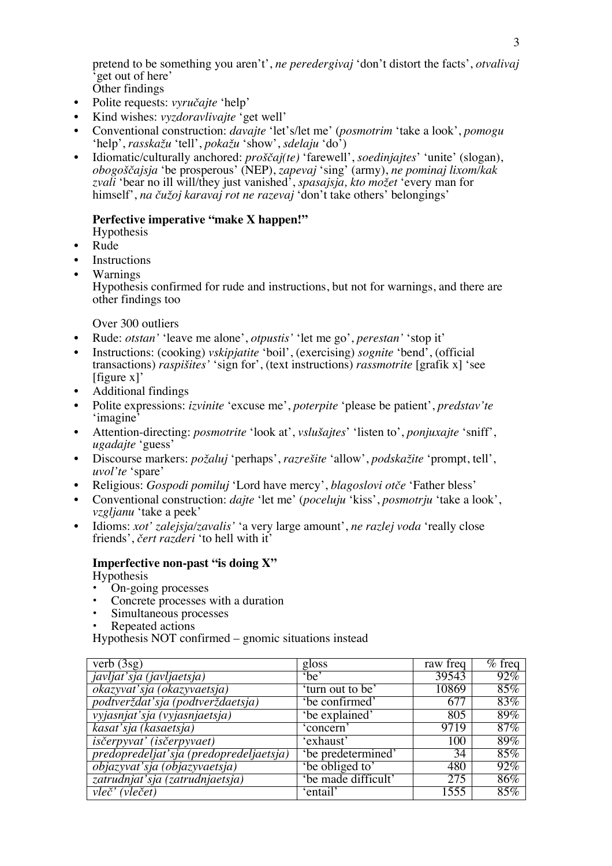pretend to be something you aren't', *ne peredergivaj* 'don't distort the facts', *otvalivaj* <sup>t</sup>get out of here'

- Other findings
- Polite requests: *vyručajte* 'help'
- Kind wishes: *vyzdoravlivajte* 'get well'
- Conventional construction: *davajte* 'let's/let me' (*posmotrim* 'take a look', *pomogu* 'help', *rasskažu* 'tell', *pokažu* 'show', *sdelaju* 'do')
- Idiomatic/culturally anchored: *proščaj(te)* 'farewell', *soedinjajtes*' 'unite' (slogan), *obogoščajsja* 'be prosperous' (NEP), *zapevaj* 'sing' (army), *ne pominaj lixom/kak zvali* 'bear no ill will/they just vanished', *spasajsja, kto možet* 'every man for himself', *na čužoj karavaj rot ne razevaj* 'don't take others' belongings'

# **Perfective imperative "make X happen!"**

- Hypothesis
- Rude
- **Instructions**
- Warnings

Hypothesis confirmed for rude and instructions, but not for warnings, and there are other findings too

Over 300 outliers

- Rude: *otstan'* 'leave me alone', *otpustis'* 'let me go', *perestan'* 'stop it'
- Instructions: (cooking) *vskipjatite* 'boil', (exercising) *sognite* 'bend', (official transactions) *raspišites'* 'sign for', (text instructions) *rassmotrite* [grafik x] 'see [figure x]'
- Additional findings
- Polite expressions: *izvinite* 'excuse me', *poterpite* 'please be patient', *predstav'te* 'imagine'
- Attention-directing: *posmotrite* 'look at', *vslušajtes*' 'listen to', *ponjuxajte* 'sniff', *ugadajte* 'guess'
- Discourse markers: *požaluj* 'perhaps', *razrešite* 'allow', *podskažite* 'prompt, tell', *uvol'te* 'spare'
- Religious: *Gospodi pomiluj* 'Lord have mercy', *blagoslovi otče* 'Father bless'
- Conventional construction: *dajte* 'let me' (*poceluju* 'kiss', *posmotrju* 'take a look', *vzgljanu* 'take a peek'
- Idioms: *xot' zalejsja/zavalis'* 'a very large amount', *ne razlej voda* 'really close friends', *čert razderi* 'to hell with it'

## **Imperfective non-past "is doing X"**

- Hypothesis
- On-going processes
- Concrete processes with a duration
- Simultaneous processes
- Repeated actions

Hypothesis NOT confirmed – gnomic situations instead

| verb $(3sg)$                            | gloss               | raw freq | $%$ freq |
|-----------------------------------------|---------------------|----------|----------|
| javljat'sja (javljaetsja)               | $b$ e'              | 39543    | 92%      |
| okazyvať sja (okazyvaetsja)             | 'turn out to be'    | 10869    | 85%      |
| podtverždat'sja (podtverždaetsja)       | 'be confirmed'      | 677      | 83%      |
| vyjasnjat'sja (vyjasnjaetsja)           | 'be explained'      | 805      | 89%      |
| kasat'sja (kasaetsja)                   | 'concern'           | 9719     | 87%      |
| <i>isčerpyvat' (isčerpyvaet)</i>        | 'exhaust'           | 100      | 89%      |
| predopredeljat'sja (predopredeljaetsja) | 'be predetermined'  | 34       | 85%      |
| objazyvať sja (objazyvaetsja)           | 'be obliged to'     | 480      | 92%      |
| zatrudnjat'sja (zatrudnjaetsja)         | 'be made difficult' | 275      | $86\%$   |
| vleč' (vlečet)                          | 'entail'            | 1555     | 85%      |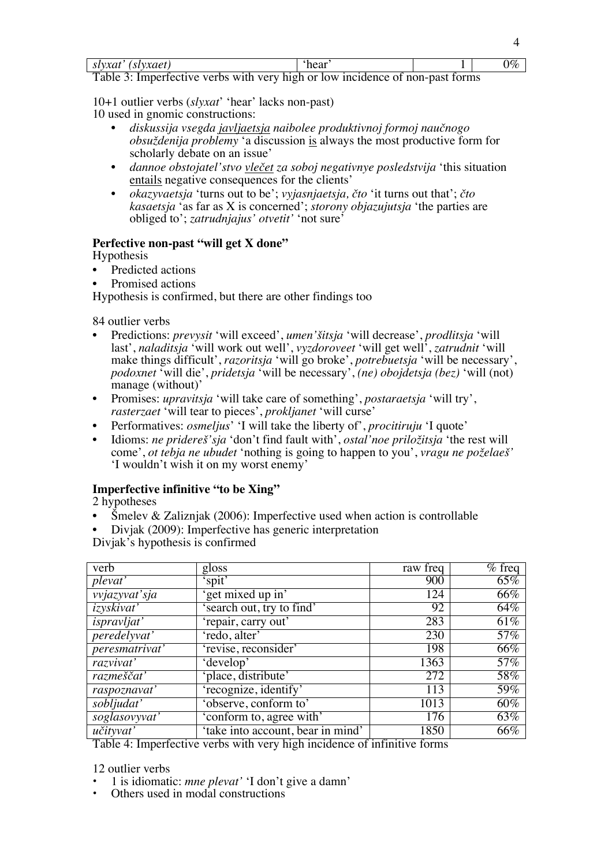| slyxat' (slyxaet)                                                             | `hear | $0\%$ |
|-------------------------------------------------------------------------------|-------|-------|
| Table 3: Imperfective verbs with very high or low incidence of non-past forms |       |       |

10+1 outlier verbs (*slyxat*' 'hear' lacks non-past)

10 used in gnomic constructions:

- *diskussija vsegda javljaetsja naibolee produktivnoj formoj naučnogo obsuždenija problemy* 'a discussion is always the most productive form for scholarly debate on an issue'
- *dannoe obstojatel'stvo vlečet za soboj negativnye posledstvija* 'this situation entails negative consequences for the clients'
- *okazyvaetsja* 'turns out to be'; *vyjasnjaetsja, čto* 'it turns out that'; *čto kasaetsja* 'as far as X is concerned'; *storony objazujutsja* 'the parties are obliged to'; *zatrudnjajus' otvetit'* 'not sure'

# **Perfective non-past "will get X done"**

Hypothesis

- Predicted actions
- Promised actions

Hypothesis is confirmed, but there are other findings too

84 outlier verbs

- Predictions: *prevysit* 'will exceed', *umen'šitsja* 'will decrease', *prodlitsja* 'will last', *naladitsja* 'will work out well', *vyzdoroveet* 'will get well', *zatrudnit* 'will make things difficult', *razoritsja* 'will go broke', *potrebuetsja* 'will be necessary', *podoxnet* 'will die', *pridetsja* 'will be necessary', *(ne) obojdetsja (bez)* 'will (not) manage (without)'
- Promises: *upravitsja* 'will take care of something', *postaraetsja* 'will try', *rasterzaet* 'will tear to pieces', *prokljanet* 'will curse'
- Performatives: *osmeljus*' 'I will take the liberty of', *procitiruju* 'I quote'
- Idioms: *ne pridereš'sja* 'don't find fault with', *ostal'noe priložitsja* 'the rest will come', *ot tebja ne ubudet* 'nothing is going to happen to you', *vragu ne poželaeš'* 'I wouldn't wish it on my worst enemy'

# **Imperfective infinitive "to be Xing"**

2 hypotheses

- Smelev & Zaliznjak (2006): Imperfective used when action is controllable
- Divjak (2009): Imperfective has generic interpretation

Divjak's hypothesis is confirmed

| verb                 | gloss                             | raw freq          | $%$ freq |
|----------------------|-----------------------------------|-------------------|----------|
| plexat'              | 'spit'                            | 900               | $65\%$   |
| <i>vvjazyvať sja</i> | 'get mixed up in'                 | 124               | 66%      |
| <i>izyskivat</i>     | search out, try to find'          | 92                | 64%      |
| <i>ispravljat'</i>   | 'repair, carry out'               | 283               | 61%      |
| <i>peredelyvat'</i>  | 'redo, alter'                     | 230               | 57%      |
| peresmatrivat'       | 'revise, reconsider'              | 198               | 66%      |
| razvivat'            | 'develop'                         | 1363              | 57%      |
| razmeščať            | place, distribute'                | 272               | 58%      |
| raspoznavať          | 'recognize, identify'             | 113               | 59%      |
| sobljudat'           | 'observe, conform to'             | $101\overline{3}$ | 60%      |
| soglasovyvat'        | 'conform to, agree with'          | 176               | 63%      |
| učityvať             | 'take into account, bear in mind' | 1850              | 66%      |

Table 4: Imperfective verbs with very high incidence of infinitive forms

12 outlier verbs

- 1 is idiomatic: *mne plevat'* 'I don't give a damn'
- Others used in modal constructions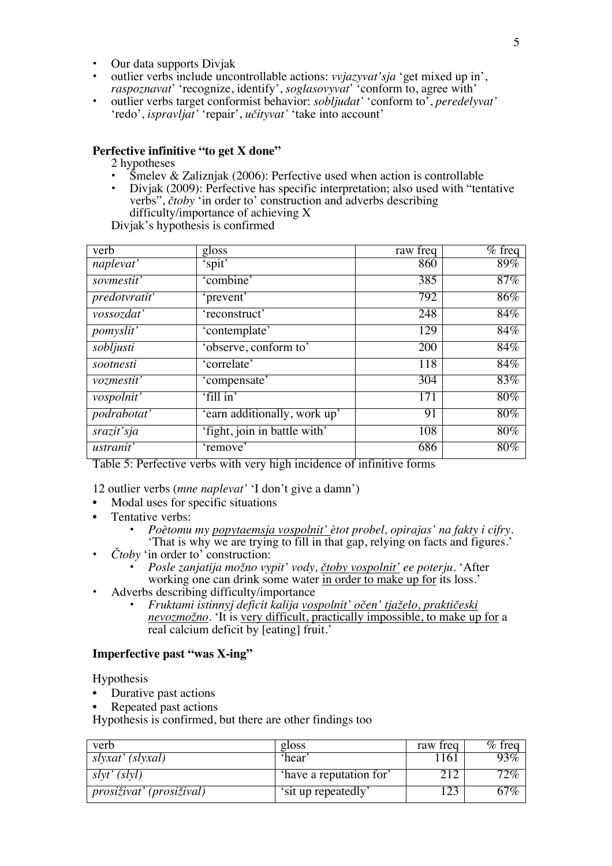- Our data supports Divjak
- outlier verbs include uncontrollable actions: *vvjazyvat'sja* 'get mixed up in', *raspoznavat*' 'recognize, identify', *soglasovyvat*' 'conform to, agree with'
- outlier verbs target conformist behavior: *sobljudat'* 'conform to', *peredelyvat'*  'redo', *ispravljat'* 'repair', *učityvat'* 'take into account'

#### **Perfective infinitive "to get X done"**

2 hypotheses

- Smelev & Zalizniak (2006): Perfective used when action is controllable
- Divjak (2009): Perfective has specific interpretation; also used with "tentative verbs", *čtoby* 'in order to' construction and adverbs describing difficulty/importance of achieving X

Divjak's hypothesis is confirmed

| verb               | gloss                        | raw freq   | $%$ freq |
|--------------------|------------------------------|------------|----------|
| naplevat'          | spit                         | 860        | 89%      |
| sovmestit'         | 'combine'                    | 385        | $87\%$   |
| predotvratit'      | 'prevent'                    | 792        | $86\%$   |
| vossozdat'         | 'reconstruct'                | 248        | $84\%$   |
| <i>pomyslit'</i>   | 'contemplate'                | 129        | $84\%$   |
| sobljusti          | 'observe, conform to'        | <b>200</b> | 84%      |
| sootnesti          | 'correlate'                  | 118        | 84%      |
| vozmestit'         | 'compensate'                 | 304        | 83%      |
| vospolnit'         | 'fill in'                    | 171        | 80%      |
| <i>podrabotat'</i> | 'earn additionally, work up' | 91         | $80\%$   |
| srazit'sja         | 'fight, join in battle with' | 108        | $80\%$   |
| <i>ustranit'</i>   | 'remove'                     | 686        | $80\%$   |

Table 5: Perfective verbs with very high incidence of infinitive forms

12 outlier verbs (*mne naplevat'* 'I don't give a damn')

- Modal uses for specific situations
- Tentative verbs:
	- *Poètomu my popytaemsja vospolnit' ètot probel, opirajas' na fakty i cifry.*  'That is why we are trying to fill in that gap, relying on facts and figures.'
- *Čtoby* 'in order to' construction:
	- *Posle zanjatija možno vypit' vody, čtoby vospolnit' ee poterju.* 'After working one can drink some water in order to make up for its loss.'
- Adverbs describing difficulty/importance
	- *Fruktami istinnyj deficit kalija vospolnit' očen' tjaželo, praktičeski nevozmožno.* 'It is very difficult, practically impossible, to make up for a real calcium deficit by [eating] fruit.'

#### **Imperfective past "was X-ing"**

Hypothesis

- Durative past actions
- Repeated past actions

Hypothesis is confirmed, but there are other findings too

| verb                            | gloss                   | raw freq | $\%$ freq |
|---------------------------------|-------------------------|----------|-----------|
| slyxat' (slyxal)                | 'hear'                  | 161      | 93%       |
| s l v t' (s l v l)              | 'have a reputation for' |          | $12\%$    |
| <i>prosiživat' (prosižival)</i> | 'sit up repeatedly'     |          | 67%       |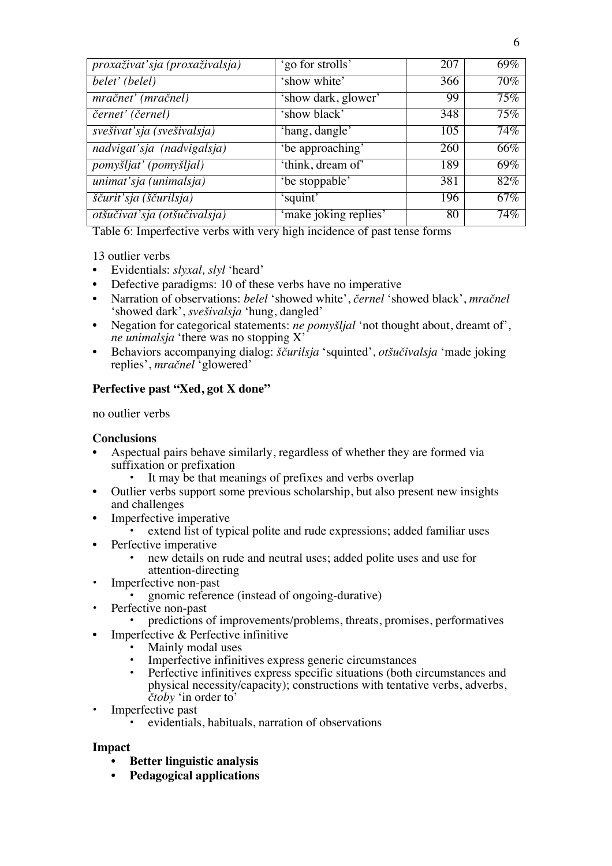| proxaživat'sja (proxaživalsja) | 'go for strolls'      | 207 | 69% |
|--------------------------------|-----------------------|-----|-----|
| belet' (belel)                 | 'show white'          | 366 | 70% |
| mračnet' (mračnel)             | 'show dark, glower'   | 99  | 75% |
| černet' (černel)               | 'show black'          | 348 | 75% |
| svešivat'sja (svešivalsja)     | 'hang, dangle'        | 105 | 74% |
| nadvigat'sja (nadvigalsja)     | 'be approaching'      | 260 | 66% |
| pomyšljat' (pomyšljal)         | 'think, dream of'     | 189 | 69% |
| unimat'sja (unimalsja)         | 'be stoppable'        | 381 | 82% |
| ščurit'sja (ščurilsja)         | 'squint'              | 196 | 67% |
| otšučivať sja (otšučivalsja)   | 'make joking replies' | 80  | 74% |

Table 6: Imperfective verbs with very high incidence of past tense forms

13 outlier verbs

- Evidentials: *slyxal, slyl* 'heard'
- Defective paradigms: 10 of these verbs have no imperative
- Narration of observations: *belel* 'showed white', *černel* 'showed black', *mračnel* 'showed dark', *svešivalsja* 'hung, dangled'
- Negation for categorical statements: *ne pomyšljal* 'not thought about, dreamt of', *ne unimalsja* 'there was no stopping X'
- Behaviors accompanying dialog: *ščurilsja* 'squinted', *otšučivalsja* 'made joking replies', *mračnel* 'glowered'

# **Perfective past "Xed, got X done"**

no outlier verbs

## **Conclusions**

- Aspectual pairs behave similarly, regardless of whether they are formed via suffixation or prefixation
	- It may be that meanings of prefixes and verbs overlap
- Outlier verbs support some previous scholarship, but also present new insights and challenges
- Imperfective imperative
	- extend list of typical polite and rude expressions; added familiar uses
- Perfective imperative
	- new details on rude and neutral uses; added polite uses and use for attention-directing
- Imperfective non-past
	- gnomic reference (instead of ongoing-durative)
- Perfective non-past
	- predictions of improvements/problems, threats, promises, performatives
- Imperfective & Perfective infinitive
	- Mainly modal uses
	- Imperfective infinitives express generic circumstances
	- Perfective infinitives express specific situations (both circumstances and physical necessity/capacity); constructions with tentative verbs, adverbs, *čtoby* 'in order to'
- Imperfective past
	- evidentials, habituals, narration of observations

#### **Impact**

- **Better linguistic analysis**
- **Pedagogical applications**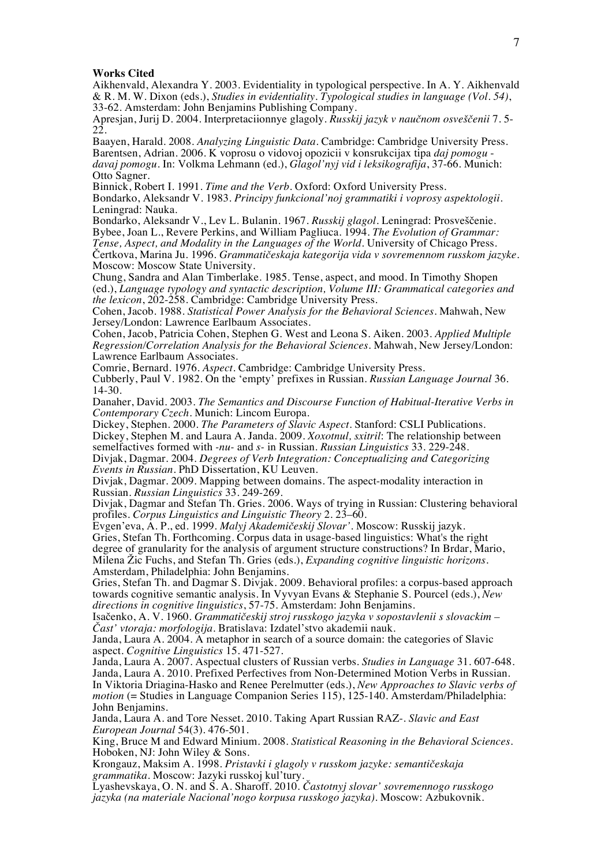#### **Works Cited**

Aikhenvald, Alexandra Y. 2003. Evidentiality in typological perspective. In A. Y. Aikhenvald & R. M. W. Dixon (eds.), *Studies in evidentiality. Typological studies in language (Vol. 54)*, 33-62. Amsterdam: John Benjamins Publishing Company.

Apresjan, Jurij D. 2004. Interpretaciionnye glagoly. *Russkij jazyk v naučnom osveščenii* 7. 5- 22.

Baayen, Harald. 2008. *Analyzing Linguistic Data.* Cambridge: Cambridge University Press. Barentsen, Adrian. 2006. K voprosu o vidovoj opozicii v konsrukcijax tipa *daj pomogu davaj pomogu*. In: Volkma Lehmann (ed.), *Glagol'nyj vid i leksikografija*, 37-66. Munich: Otto Sagner.

Binnick, Robert I. 1991. *Time and the Verb.* Oxford: Oxford University Press. Bondarko, Aleksandr V. 1983. *Principy funkcional'noj grammatiki i voprosy aspektologii*. Leningrad: Nauka.

Bondarko, Aleksandr V., Lev L. Bulanin. 1967. *Russkij glagol.* Leningrad: Prosveščenie. Bybee, Joan L., Revere Perkins, and William Pagliuca. 1994. *The Evolution of Grammar: Tense, Aspect, and Modality in the Languages of the World*. University of Chicago Press. Čertkova, Marina Ju. 1996. *Grammatičeskaja kategorija vida v sovremennom russkom jazyke*. Moscow: Moscow State University.

Chung, Sandra and Alan Timberlake. 1985. Tense, aspect, and mood. In Timothy Shopen (ed.), *Language typology and syntactic description, Volume III: Grammatical categories and the lexicon*, 202-258. Cambridge: Cambridge University Press.

Cohen, Jacob. 1988. *Statistical Power Analysis for the Behavioral Sciences.* Mahwah, New Jersey/London: Lawrence Earlbaum Associates.

Cohen, Jacob, Patricia Cohen, Stephen G. West and Leona S. Aiken. 2003. *Applied Multiple Regression/Correlation Analysis for the Behavioral Sciences.* Mahwah, New Jersey/London: Lawrence Earlbaum Associates.

Comrie, Bernard. 1976. *Aspect*. Cambridge: Cambridge University Press.

Cubberly, Paul V. 1982. On the 'empty' prefixes in Russian. *Russian Language Journal* 36. 14-30.

Danaher, David. 2003. *The Semantics and Discourse Function of Habitual-Iterative Verbs in Contemporary Czech.* Munich: Lincom Europa.

Dickey, Stephen. 2000. *The Parameters of Slavic Aspect.* Stanford: CSLI Publications. Dickey, Stephen M. and Laura A. Janda. 2009. *Xoxotnul, sxitril*: The relationship between semelfactives formed with *-nu-* and *s-* in Russian. *Russian Linguistics* 33. 229-248.

Divjak, Dagmar. 2004. *Degrees of Verb Integration: Conceptualizing and Categorizing Events in Russian*. PhD Dissertation, KU Leuven.

Divjak, Dagmar. 2009. Mapping between domains. The aspect-modality interaction in Russian. *Russian Linguistics* 33. 249-269.

Divjak, Dagmar and Stefan Th. Gries. 2006. Ways of trying in Russian: Clustering behavioral profiles. *Corpus Linguistics and Linguistic Theory* 2. 23–60.

Evgen'eva, A. P., ed. 1999. *Malyj Akademičeskij Slovar'.* Moscow: Russkij jazyk. Gries, Stefan Th. Forthcoming. Corpus data in usage-based linguistics: What's the right degree of granularity for the analysis of argument structure constructions? In Brdar, Mario, Milena Žic Fuchs, and Stefan Th. Gries (eds.), *Expanding cognitive linguistic horizons*. Amsterdam, Philadelphia: John Benjamins.

Gries, Stefan Th. and Dagmar S. Divjak. 2009. Behavioral profiles: a corpus-based approach towards cognitive semantic analysis. In Vyvyan Evans & Stephanie S. Pourcel (eds.), *New directions in cognitive linguistics*, 57-75. Amsterdam: John Benjamins.

Isačenko, A. V. 1960. *Grammatičeskij stroj russkogo jazyka v sopostavlenii s slovackim – Čast' vtoraja: morfologija*. Bratislava: Izdatel'stvo akademii nauk.

Janda, Laura A. 2004. A metaphor in search of a source domain: the categories of Slavic aspect. *Cognitive Linguistics* 15. 471-527.

Janda, Laura A. 2007. Aspectual clusters of Russian verbs. *Studies in Language* 31. 607-648. Janda, Laura A. 2010. Prefixed Perfectives from Non-Determined Motion Verbs in Russian. In Viktoria Driagina-Hasko and Renee Perelmutter (eds.), *New Approaches to Slavic verbs of motion* (= Studies in Language Companion Series 115), 125-140. Amsterdam/Philadelphia: John Benjamins.

Janda, Laura A. and Tore Nesset. 2010. Taking Apart Russian RAZ-. *Slavic and East European Journal* 54(3). 476-501.

King, Bruce M and Edward Minium. 2008. *Statistical Reasoning in the Behavioral Sciences*. Hoboken, NJ: John Wiley & Sons.

Krongauz, Maksim A. 1998. *Pristavki i glagoly v russkom jazyke: semantičeskaja grammatika.* Moscow: Jazyki russkoj kul'tury.

Lyashevskaya, O. N. and S. A. Sharoff. 2010. *Častotnyj slovar' sovremennogo russkogo jazyka (na materiale Nacional'nogo korpusa russkogo jazyka).* Moscow: Azbukovnik.